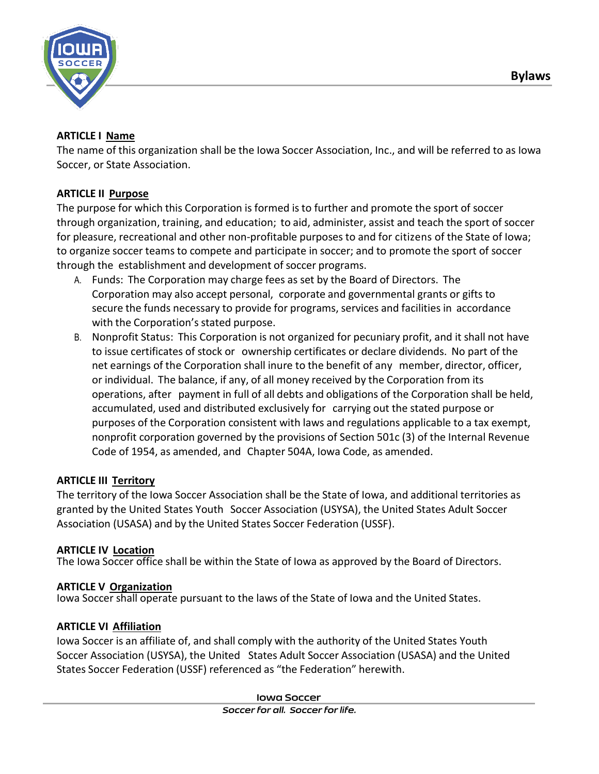

# **ARTICLE I Name**

The name of this organization shall be the Iowa Soccer Association, Inc., and will be referred to as Iowa Soccer, or State Association.

# **ARTICLE II Purpose**

The purpose for which this Corporation is formed is to further and promote the sport of soccer through organization, training, and education; to aid, administer, assist and teach the sport of soccer for pleasure, recreational and other non-profitable purposes to and for citizens of the State of Iowa; to organize soccer teams to compete and participate in soccer; and to promote the sport of soccer through the establishment and development of soccer programs.

- A. Funds: The Corporation may charge fees as set by the Board of Directors. The Corporation may also accept personal, corporate and governmental grants or gifts to secure the funds necessary to provide for programs, services and facilities in accordance with the Corporation's stated purpose.
- B. Nonprofit Status: This Corporation is not organized for pecuniary profit, and it shall not have to issue certificates of stock or ownership certificates or declare dividends. No part of the net earnings of the Corporation shall inure to the benefit of any member, director, officer, or individual. The balance, if any, of all money received by the Corporation from its operations, after payment in full of all debts and obligations of the Corporation shall be held, accumulated, used and distributed exclusively for carrying out the stated purpose or purposes of the Corporation consistent with laws and regulations applicable to a tax exempt, nonprofit corporation governed by the provisions of Section 501c (3) of the Internal Revenue Code of 1954, as amended, and Chapter 504A, Iowa Code, as amended.

# **ARTICLE III Territory**

The territory of the Iowa Soccer Association shall be the State of Iowa, and additional territories as granted by the United States Youth Soccer Association (USYSA), the United States Adult Soccer Association (USASA) and by the United States Soccer Federation (USSF).

# **ARTICLE IV Location**

The Iowa Soccer office shall be within the State of Iowa as approved by the Board of Directors.

# **ARTICLE V Organization**

Iowa Soccer shall operate pursuant to the laws of the State of Iowa and the United States.

# **ARTICLE VI Affiliation**

Iowa Soccer is an affiliate of, and shall comply with the authority of the United States Youth Soccer Association (USYSA), the United States Adult Soccer Association (USASA) and the United States Soccer Federation (USSF) referenced as "the Federation" herewith.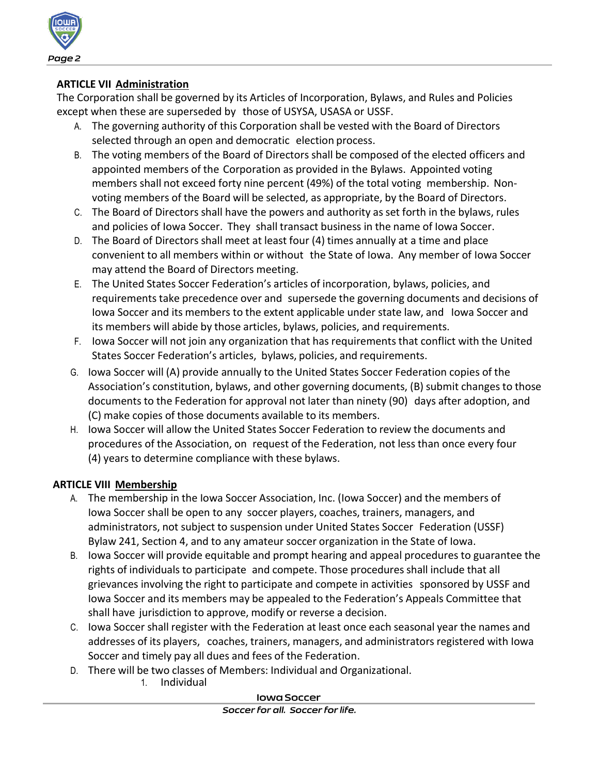

## **ARTICLE VII Administration**

The Corporation shall be governed by its Articles of Incorporation, Bylaws, and Rules and Policies except when these are superseded by those of USYSA, USASA or USSF.

- A. The governing authority of this Corporation shall be vested with the Board of Directors selected through an open and democratic election process.
- B. The voting members of the Board of Directors shall be composed of the elected officers and appointed members of the Corporation as provided in the Bylaws. Appointed voting members shall not exceed forty nine percent (49%) of the total voting membership. Nonvoting members of the Board will be selected, as appropriate, by the Board of Directors.
- C. The Board of Directors shall have the powers and authority as set forth in the bylaws, rules and policies of Iowa Soccer. They shall transact business in the name of Iowa Soccer.
- D. The Board of Directors shall meet at least four (4) times annually at a time and place convenient to all members within or without the State of Iowa. Any member of Iowa Soccer may attend the Board of Directors meeting.
- E. The United States Soccer Federation's articles of incorporation, bylaws, policies, and requirements take precedence over and supersede the governing documents and decisions of Iowa Soccer and its members to the extent applicable under state law, and Iowa Soccer and its members will abide by those articles, bylaws, policies, and requirements.
- F. Iowa Soccer will not join any organization that has requirementsthat conflict with the United States Soccer Federation's articles, bylaws, policies, and requirements.
- G. Iowa Soccer will (A) provide annually to the United States Soccer Federation copies of the Association's constitution, bylaws, and other governing documents, (B) submit changesto those documents to the Federation for approval not later than ninety (90) days after adoption, and (C) make copies of those documents available to its members.
- H. Iowa Soccer will allow the United States Soccer Federation to review the documents and procedures of the Association, on request of the Federation, not less than once every four (4) years to determine compliance with these bylaws.

# **ARTICLE VIII Membership**

- A. The membership in the Iowa Soccer Association, Inc. (Iowa Soccer) and the members of Iowa Soccer shall be open to any soccer players, coaches, trainers, managers, and administrators, not subject to suspension under United States Soccer Federation (USSF) Bylaw 241, Section 4, and to any amateur soccer organization in the State of Iowa.
- B. Iowa Soccer will provide equitable and prompt hearing and appeal procedures to guarantee the rights of individuals to participate and compete. Those proceduresshall include that all grievances involving the right to participate and compete in activities sponsored by USSF and Iowa Soccer and its members may be appealed to the Federation's Appeals Committee that shall have jurisdiction to approve, modify or reverse a decision.
- C. Iowa Soccer shall register with the Federation at least once each seasonal year the names and addresses of its players, coaches, trainers, managers, and administrators registered with Iowa Soccer and timely pay all dues and fees of the Federation.
- D. There will be two classes of Members: Individual and Organizational.<br>1. Individual
	- **Individual**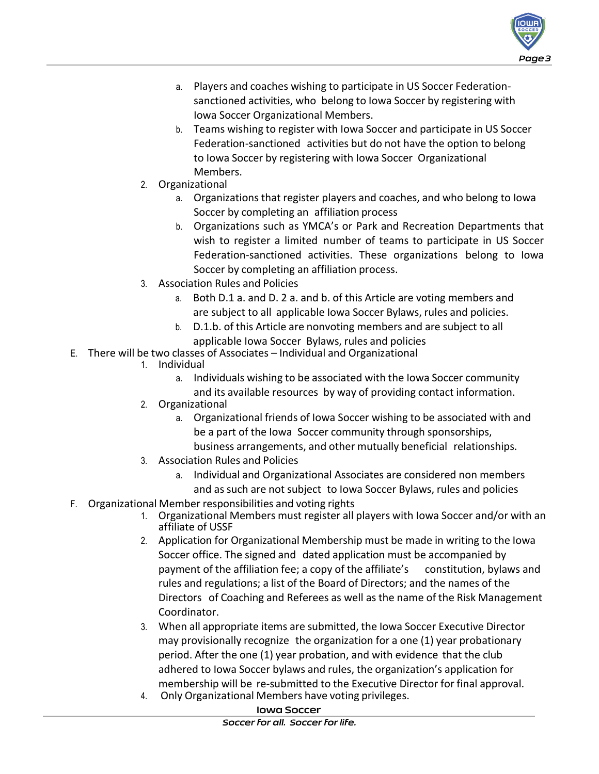

- a. Players and coaches wishing to participate in US Soccer Federationsanctioned activities, who belong to Iowa Soccer by registering with Iowa Soccer Organizational Members.
- b. Teams wishing to register with Iowa Soccer and participate in US Soccer Federation-sanctioned activities but do not have the option to belong to Iowa Soccer by registering with Iowa Soccer Organizational Members.
- 2. Organizational
	- a. Organizations that register players and coaches, and who belong to Iowa Soccer by completing an affiliation process
	- b. Organizations such as YMCA's or Park and Recreation Departments that wish to register a limited number of teams to participate in US Soccer Federation-sanctioned activities. These organizations belong to Iowa Soccer by completing an affiliation process.
- 3. Association Rules and Policies
	- a. Both D.1 a. and D. 2 a. and b. of this Article are voting members and are subject to all applicable Iowa Soccer Bylaws, rules and policies.
	- b. D.1.b. of this Article are nonvoting members and are subject to all applicable Iowa Soccer Bylaws, rules and policies
- E. There will be two classes of Associates Individual and Organizational
	- 1. Individual
		- a. Individuals wishing to be associated with the Iowa Soccer community and its available resources by way of providing contact information.
		- 2. Organizational
			- a. Organizational friends of Iowa Soccer wishing to be associated with and be a part of the Iowa Soccer community through sponsorships, business arrangements, and other mutually beneficial relationships.
		- 3. Association Rules and Policies
			- a. Individual and Organizational Associates are considered non members and as such are not subject to Iowa Soccer Bylaws, rules and policies
- F. Organizational Member responsibilities and voting rights
	- 1. Organizational Members must register all players with Iowa Soccer and/or with an affiliate of USSF
	- 2. Application for Organizational Membership must be made in writing to the Iowa Soccer office. The signed and dated application must be accompanied by payment of the affiliation fee; a copy of the affiliate's constitution, bylaws and rules and regulations; a list of the Board of Directors; and the names of the Directors of Coaching and Referees as well as the name of the Risk Management Coordinator.
	- 3. When all appropriate items are submitted, the Iowa Soccer Executive Director may provisionally recognize the organization for a one (1) year probationary period. After the one (1) year probation, and with evidence that the club adhered to Iowa Soccer bylaws and rules, the organization's application for membership will be re-submitted to the Executive Director for final approval.
	- 4. Only Organizational Members have voting privileges.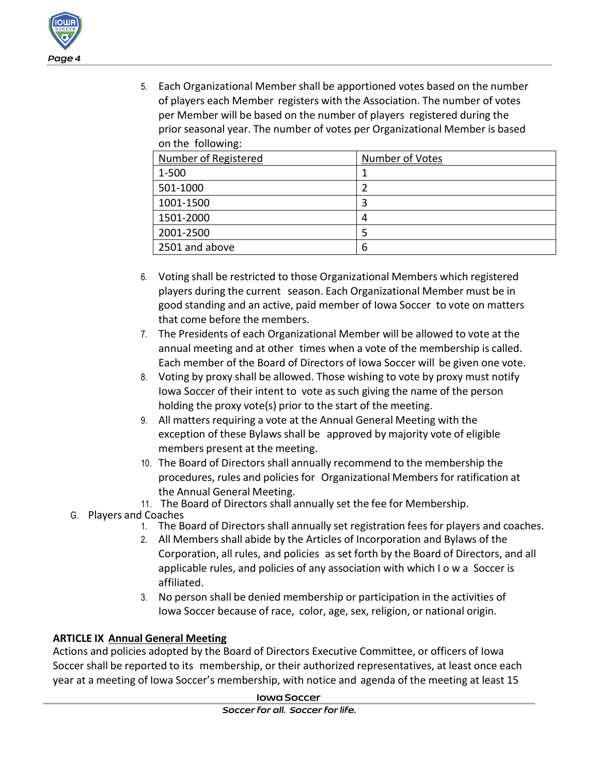

5. Each Organizational Member shall be apportioned votes based on the number of players each Member registers with the Association. The number of votes per Member will be based on the number of players registered during the prior seasonal year. The number of votes per Organizational Member is based on the following:

| Number of Registered | Number of Votes |
|----------------------|-----------------|
| $1 - 500$            |                 |
| 501-1000             |                 |
| 1001-1500            |                 |
| 1501-2000            |                 |
| 2001-2500            |                 |
| 2501 and above       | h               |

- 6. Voting shall be restricted to those Organizational Members which registered players during the current season. Each Organizational Member must be in good standing and an active, paid member of Iowa Soccer to vote on matters that come before the members.
- 7. The Presidents of each Organizational Member will be allowed to vote at the annual meeting and at other times when a vote of the membership is called. Each member of the Board of Directors of Iowa Soccer will be given one vote.
- 8. Voting by proxy shall be allowed. Those wishing to vote by proxy must notify Iowa Soccer of their intent to vote as such giving the name of the person holding the proxy vote(s) prior to the start of the meeting.
- 9. All matters requiring a vote at the Annual General Meeting with the exception of these Bylaws shall be approved by majority vote of eligible members present at the meeting.
- 10. The Board of Directors shall annually recommend to the membership the procedures, rules and policies for Organizational Members for ratification at the Annual General Meeting.
- 11. The Board of Directors shall annually set the fee for Membership.
- G. Players and Coaches
	- 1. The Board of Directors shall annually set registration fees for players and coaches.
	- 2. All Members shall abide by the Articles of Incorporation and Bylaws of the Corporation, all rules, and policies as set forth by the Board of Directors, and all applicable rules, and policies of any association with which I o w a Soccer is affiliated.
	- 3. No person shall be denied membership or participation in the activities of Iowa Soccer because of race, color, age, sex, religion, or national origin.

# **ARTICLE IX Annual General Meeting**

Actions and policies adopted by the Board of Directors Executive Committee, or officers of Iowa Soccer shall be reported to its membership, or their authorized representatives, at least once each year at a meeting of Iowa Soccer's membership, with notice and agenda of the meeting at least 15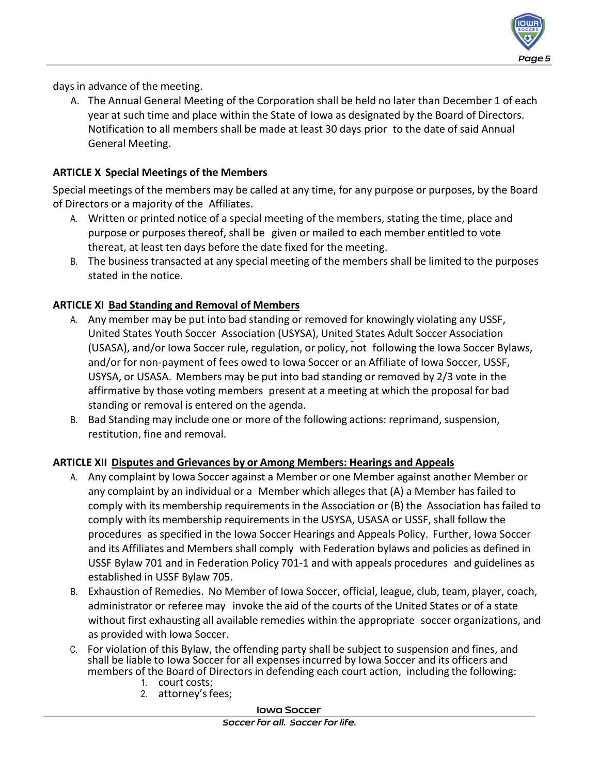

days in advance of the meeting.

A. The Annual General Meeting of the Corporation shall be held no later than December 1 of each year at such time and place within the State of Iowa as designated by the Board of Directors. Notification to all members shall be made at least 30 days prior to the date of said Annual General Meeting.

## **ARTICLE X Special Meetings of the Members**

Special meetings of the members may be called at any time, for any purpose or purposes, by the Board of Directors or a majority of the Affiliates.

- A. Written or printed notice of a special meeting of the members, stating the time, place and purpose or purposes thereof, shall be given or mailed to each member entitled to vote thereat, at least ten days before the date fixed for the meeting.
- B. The business transacted at any special meeting of the members shall be limited to the purposes stated in the notice.

## **ARTICLE XI Bad Standing and Removal of Members**

- A. Any member may be put into bad standing or removed for knowingly violating any USSF, United States Youth Soccer Association (USYSA), United States Adult Soccer Association (USASA), and/or Iowa Soccer rule, regulation, or policy, not following the Iowa Soccer Bylaws, and/or for non-payment of fees owed to Iowa Soccer or an Affiliate of Iowa Soccer, USSF, USYSA, or USASA. Members may be put into bad standing or removed by 2/3 vote in the affirmative by those voting members present at a meeting at which the proposal for bad standing or removal is entered on the agenda.
- B. Bad Standing may include one or more of the following actions: reprimand, suspension, restitution, fine and removal.

### **ARTICLE XII Disputes and Grievances by or Among Members: Hearings and Appeals**

- A. Any complaint by Iowa Soccer against a Member or one Member against another Member or any complaint by an individual or a Member which alleges that (A) a Member has failed to comply with its membership requirements in the Association or (B) the Association hasfailed to comply with its membership requirements in the USYSA, USASA or USSF, shall follow the procedures as specified in the Iowa Soccer Hearings and Appeals Policy. Further, Iowa Soccer and its Affiliates and Members shall comply with Federation bylaws and policies as defined in USSF Bylaw 701 and in Federation Policy 701-1 and with appeals procedures and guidelines as established in USSF Bylaw 705.
- B. Exhaustion of Remedies. No Member of Iowa Soccer, official, league, club, team, player, coach, administrator or referee may invoke the aid of the courts of the United States or of a state without first exhausting all available remedies within the appropriate soccer organizations, and as provided with Iowa Soccer.
- C. For violation of this Bylaw, the offending party shall be subject to suspension and fines, and shall be liable to Iowa Soccer for all expenses incurred by Iowa Soccer and its officers and members of the Board of Directors in defending each court action, including the following:
	- 1. court costs;<br>2. attorney's fo
	- attorney's fees;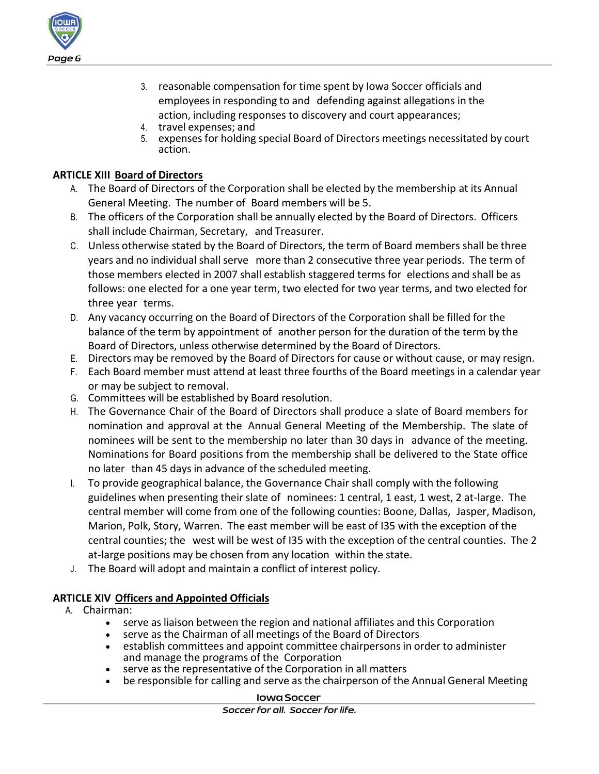

- 3. reasonable compensation for time spent by Iowa Soccer officials and employees in responding to and defending against allegations in the action, including responses to discovery and court appearances;
- 4. travel expenses; and
- 5. expensesfor holding special Board of Directors meetings necessitated by court action.

### **ARTICLE XIII Board of Directors**

- A. The Board of Directors of the Corporation shall be elected by the membership at its Annual General Meeting. The number of Board members will be 5.
- B. The officers of the Corporation shall be annually elected by the Board of Directors. Officers shall include Chairman, Secretary, and Treasurer.
- C. Unless otherwise stated by the Board of Directors, the term of Board members shall be three years and no individual shall serve more than 2 consecutive three year periods. The term of those members elected in 2007 shall establish staggered terms for elections and shall be as follows: one elected for a one year term, two elected for two year terms, and two elected for three year terms.
- D. Any vacancy occurring on the Board of Directors of the Corporation shall be filled for the balance of the term by appointment of another person for the duration of the term by the Board of Directors, unless otherwise determined by the Board of Directors.
- E. Directors may be removed by the Board of Directors for cause or without cause, or may resign.
- F. Each Board member must attend at least three fourths of the Board meetings in a calendar year or may be subject to removal.
- G. Committees will be established by Board resolution.
- H. The Governance Chair of the Board of Directors shall produce a slate of Board members for nomination and approval at the Annual General Meeting of the Membership. The slate of nominees will be sent to the membership no later than 30 days in advance of the meeting. Nominations for Board positions from the membership shall be delivered to the State office no later than 45 days in advance of the scheduled meeting.
- I. To provide geographical balance, the Governance Chair shall comply with the following guidelines when presenting their slate of nominees: 1 central, 1 east, 1 west, 2 at-large. The central member will come from one of the following counties: Boone, Dallas, Jasper, Madison, Marion, Polk, Story, Warren. The east member will be east of I35 with the exception of the central counties; the west will be west of I35 with the exception of the central counties. The 2 at-large positions may be chosen from any location within the state.
- J. The Board will adopt and maintain a conflict of interest policy.

### **ARTICLE XIV Officers and Appointed Officials**

- A. Chairman:
	- serve as liaison between the region and national affiliates and this Corporation
	- serve as the Chairman of all meetings of the Board of Directors
	- establish committees and appoint committee chairpersonsin order to administer and manage the programs of the Corporation
	- serve as the representative of the Corporation in all matters
	- be responsible for calling and serve as the chairperson of the Annual General Meeting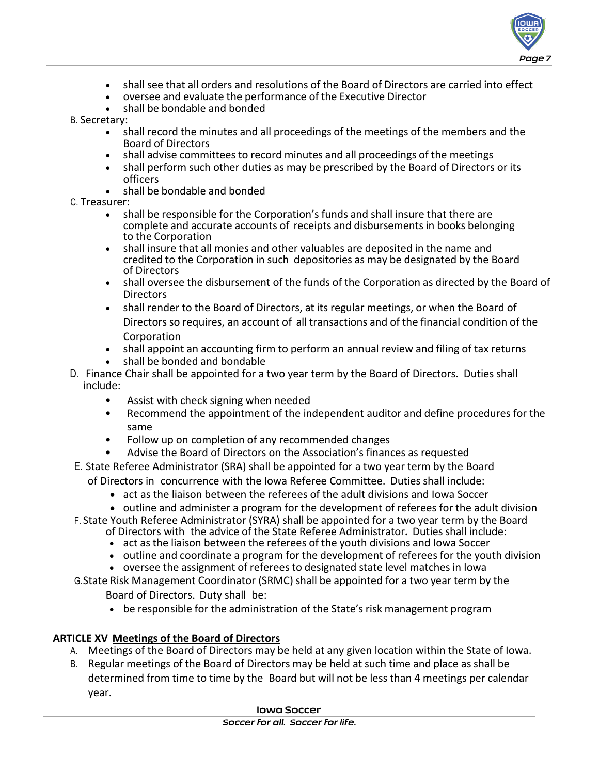

- shall see that all orders and resolutions of the Board of Directors are carried into effect
- oversee and evaluate the performance of the Executive Director
- shall be bondable and bonded

B. Secretary:

- shall record the minutes and all proceedings of the meetings of the members and the Board of Directors
- shall advise committees to record minutes and all proceedings of the meetings
- shall perform such other duties as may be prescribed by the Board of Directors or its officers
- shall be bondable and bonded
- C. Treasurer:
	- shall be responsible for the Corporation's funds and shall insure that there are complete and accurate accounts of receipts and disbursements in books belonging to the Corporation
	- shall insure that all monies and other valuables are deposited in the name and credited to the Corporation in such depositories as may be designated by the Board of Directors
	- shall oversee the disbursement of the funds of the Corporation as directed by the Board of **Directors**
	- shall render to the Board of Directors, at its regular meetings, or when the Board of Directors so requires, an account of all transactions and of the financial condition of the **Corporation**
	- shall appoint an accounting firm to perform an annual review and filing of tax returns
	- shall be bonded and bondable
- D. Finance Chair shall be appointed for a two year term by the Board of Directors. Duties shall include:
	- Assist with check signing when needed
	- Recommend the appointment of the independent auditor and define procedures for the same
	- Follow up on completion of any recommended changes
	- Advise the Board of Directors on the Association's finances as requested
- E. State Referee Administrator (SRA) shall be appointed for a two year term by the Board of Directors in concurrence with the Iowa Referee Committee. Duties shall include:
	- act as the liaison between the referees of the adult divisions and Iowa Soccer
	- outline and administer a program for the development of referees for the adult division
- F. State Youth Referee Administrator (SYRA) shall be appointed for a two year term by the Board of Directors with the advice of the State Referee Administrator**.** Duties shall include:
	- act as the liaison between the referees of the youth divisions and Iowa Soccer
	- outline and coordinate a program for the development of referees for the youth division
	- oursee the assignment of referees to designated state level matches in Iowa
- G.State Risk Management Coordinator (SRMC) shall be appointed for a two year term by the
	- Board of Directors. Duty shall be:
	- be responsible for the administration of the State's risk management program

#### **ARTICLE XV Meetings of the Board of Directors**

- A. Meetings of the Board of Directors may be held at any given location within the State of Iowa.
- B. Regular meetings of the Board of Directors may be held at such time and place as shall be determined from time to time by the Board but will not be less than 4 meetings per calendar year.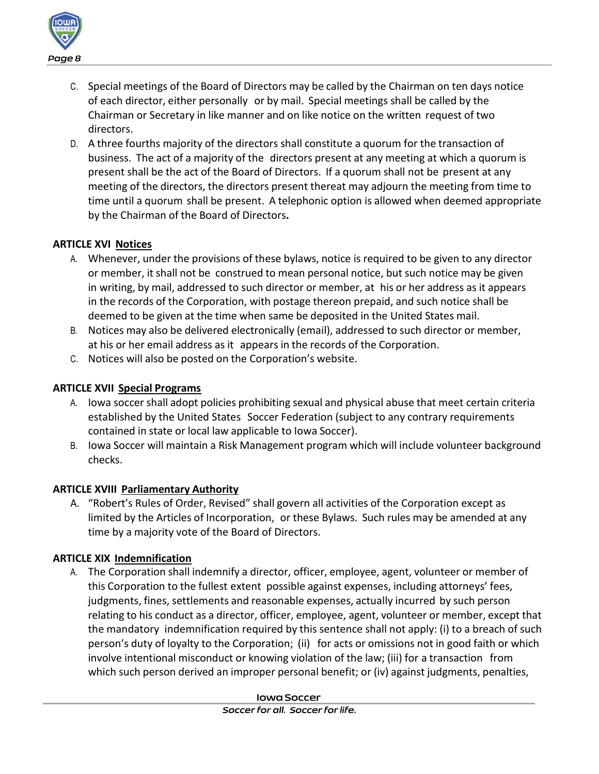

- C. Special meetings of the Board of Directors may be called by the Chairman on ten days notice of each director, either personally or by mail. Special meetings shall be called by the Chairman or Secretary in like manner and on like notice on the written request of two directors.
- D. A three fourths majority of the directors shall constitute a quorum for the transaction of business. The act of a majority of the directors present at any meeting at which a quorum is present shall be the act of the Board of Directors. If a quorum shall not be present at any meeting of the directors, the directors present thereat may adjourn the meeting from time to time until a quorum shall be present. A telephonic option is allowed when deemed appropriate by the Chairman of the Board of Directors**.**

# **ARTICLE XVI Notices**

- A. Whenever, under the provisions of these bylaws, notice is required to be given to any director or member, it shall not be construed to mean personal notice, but such notice may be given in writing, by mail, addressed to such director or member, at his or her address as it appears in the records of the Corporation, with postage thereon prepaid, and such notice shall be deemed to be given at the time when same be deposited in the United States mail.
- B. Notices may also be delivered electronically (email), addressed to such director or member, at his or her email address as it appears in the records of the Corporation.
- C. Notices will also be posted on the Corporation's website.

# **ARTICLE XVII Special Programs**

- A. Iowa soccer shall adopt policies prohibiting sexual and physical abuse that meet certain criteria established by the United States Soccer Federation (subject to any contrary requirements contained in state or local law applicable to Iowa Soccer).
- B. Iowa Soccer will maintain a Risk Management program which will include volunteer background checks.

# **ARTICLE XVIII Parliamentary Authority**

A. "Robert's Rules of Order, Revised" shall govern all activities of the Corporation except as limited by the Articles of Incorporation, or these Bylaws. Such rules may be amended at any time by a majority vote of the Board of Directors.

### **ARTICLE XIX Indemnification**

A. The Corporation shall indemnify a director, officer, employee, agent, volunteer or member of this Corporation to the fullest extent possible against expenses, including attorneys' fees, judgments, fines, settlements and reasonable expenses, actually incurred by such person relating to his conduct as a director, officer, employee, agent, volunteer or member, except that the mandatory indemnification required by this sentence shall not apply: (i) to a breach of such person's duty of loyalty to the Corporation; (ii) for acts or omissions not in good faith or which involve intentional misconduct or knowing violation of the law; (iii) for a transaction from which such person derived an improper personal benefit; or (iv) against judgments, penalties,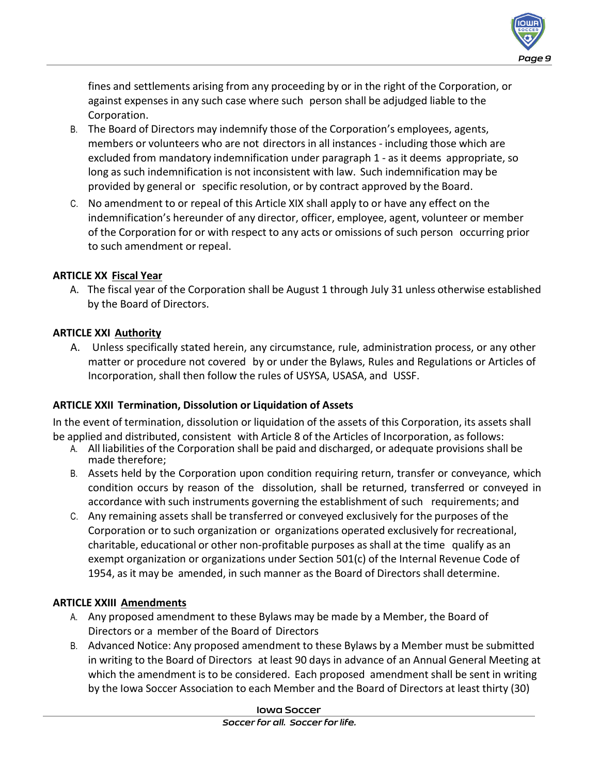

fines and settlements arising from any proceeding by or in the right of the Corporation, or against expenses in any such case where such person shall be adjudged liable to the Corporation.

- B. The Board of Directors may indemnify those of the Corporation's employees, agents, members or volunteers who are not directors in all instances - including those which are excluded from mandatory indemnification under paragraph 1 - as it deems appropriate, so long as such indemnification is not inconsistent with law. Such indemnification may be provided by general or specific resolution, or by contract approved by the Board.
- C. No amendment to or repeal of this Article XIX shall apply to or have any effect on the indemnification's hereunder of any director, officer, employee, agent, volunteer or member of the Corporation for or with respect to any acts or omissions of such person occurring prior to such amendment or repeal.

### **ARTICLE XX Fiscal Year**

A. The fiscal year of the Corporation shall be August 1 through July 31 unless otherwise established by the Board of Directors.

# **ARTICLE XXI Authority**

A. Unless specifically stated herein, any circumstance, rule, administration process, or any other matter or procedure not covered by or under the Bylaws, Rules and Regulations or Articles of Incorporation, shall then follow the rules of USYSA, USASA, and USSF.

# **ARTICLE XXII Termination, Dissolution or Liquidation of Assets**

In the event of termination, dissolution or liquidation of the assets of this Corporation, its assets shall be applied and distributed, consistent with Article 8 of the Articles of Incorporation, as follows:

- A. All liabilities of the Corporation shall be paid and discharged, or adequate provisions shall be made therefore;
- B. Assets held by the Corporation upon condition requiring return, transfer or conveyance, which condition occurs by reason of the dissolution, shall be returned, transferred or conveyed in accordance with such instruments governing the establishment of such requirements; and
- C. Any remaining assets shall be transferred or conveyed exclusively for the purposes of the Corporation or to such organization or organizations operated exclusively for recreational, charitable, educational or other non-profitable purposes as shall at the time qualify as an exempt organization or organizations under Section 501(c) of the Internal Revenue Code of 1954, as it may be amended, in such manner as the Board of Directors shall determine.

### **ARTICLE XXIII Amendments**

- A. Any proposed amendment to these Bylaws may be made by a Member, the Board of Directors or a member of the Board of Directors
- B. Advanced Notice: Any proposed amendment to these Bylaws by a Member must be submitted in writing to the Board of Directors at least 90 days in advance of an Annual General Meeting at which the amendment is to be considered. Each proposed amendment shall be sent in writing by the Iowa Soccer Association to each Member and the Board of Directors at least thirty (30)